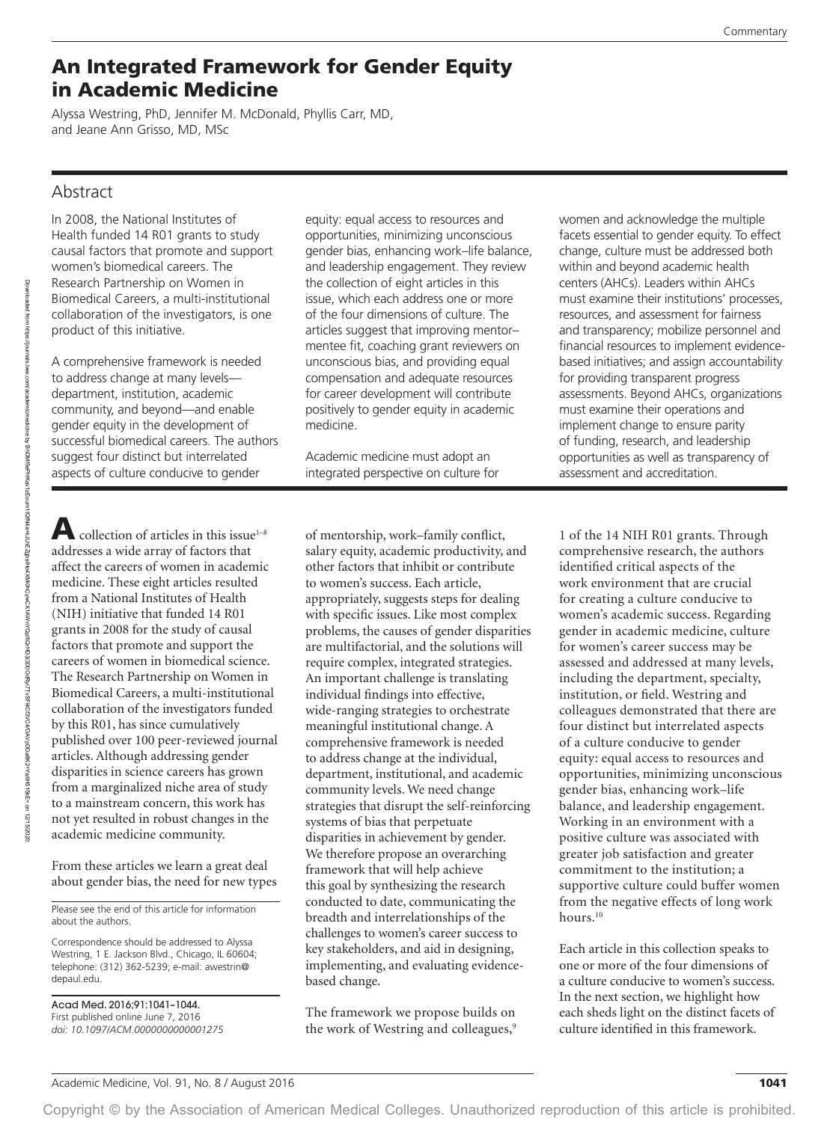# An Integrated Framework for Gender Equity in Academic Medicine

Alyssa Westring, PhD, Jennifer M. McDonald, Phyllis Carr, MD, and Jeane Ann Grisso, MD, MSc

## Abstract

In 2008, the National Institutes of Health funded 14 R01 grants to study causal factors that promote and support women's biomedical careers. The Research Partnership on Women in Biomedical Careers, a multi-institutional collaboration of the investigators, is one product of this initiative.

A comprehensive framework is needed to address change at many levels department, institution, academic community, and beyond—and enable gender equity in the development of successful biomedical careers. The authors suggest four distinct but interrelated aspects of culture conducive to gender

equity: equal access to resources and opportunities, minimizing unconscious gender bias, enhancing work–life balance, and leadership engagement. They review the collection of eight articles in this issue, which each address one or more of the four dimensions of culture. The articles suggest that improving mentor– mentee fit, coaching grant reviewers on unconscious bias, and providing equal compensation and adequate resources for career development will contribute positively to gender equity in academic medicine.

Academic medicine must adopt an integrated perspective on culture for

collection of articles in this issue<sup>1-8</sup> addresses a wide array of factors that affect the careers of women in academic medicine. These eight articles resulted from a National Institutes of Health (NIH) initiative that funded 14 R01 grants in 2008 for the study of causal factors that promote and support the careers of women in biomedical science. The Research Partnership on Women in Biomedical Careers, a multi-institutional collaboration of the investigators funded by this R01, has since cumulatively published over 100 peer-reviewed journal articles. Although addressing gender disparities in science careers has grown from a marginalized niche area of study to a mainstream concern, this work has not yet resulted in robust changes in the academic medicine community.

From these articles we learn a great deal about gender bias, the need for new types

Please see the end of this article for information about the authors.

Correspondence should be addressed to Alyssa Westring, 1 E. Jackson Blvd., Chicago, IL 60604; telephone: (312) 362-5239; e-mail: [awestrin@](mailto:awestrin@depaul.edu) [depaul.edu](mailto:awestrin@depaul.edu).

Acad Med. 2016;91:1041–1044. First published online June 7, 2016 *doi: 10.1097/ACM.0000000000001275* of mentorship, work–family conflict, salary equity, academic productivity, and other factors that inhibit or contribute to women's success. Each article, appropriately, suggests steps for dealing with specific issues. Like most complex problems, the causes of gender disparities are multifactorial, and the solutions will require complex, integrated strategies. An important challenge is translating individual findings into effective, wide-ranging strategies to orchestrate meaningful institutional change. A comprehensive framework is needed to address change at the individual, department, institutional, and academic community levels. We need change strategies that disrupt the self-reinforcing systems of bias that perpetuate disparities in achievement by gender. We therefore propose an overarching framework that will help achieve this goal by synthesizing the research conducted to date, communicating the breadth and interrelationships of the challenges to women's career success to key stakeholders, and aid in designing, implementing, and evaluating evidencebased change.

The framework we propose builds on the work of Westring and colleagues,<sup>9</sup>

women and acknowledge the multiple facets essential to gender equity. To effect change, culture must be addressed both within and beyond academic health centers (AHCs). Leaders within AHCs must examine their institutions' processes, resources, and assessment for fairness and transparency; mobilize personnel and financial resources to implement evidencebased initiatives; and assign accountability for providing transparent progress assessments. Beyond AHCs, organizations must examine their operations and implement change to ensure parity of funding, research, and leadership opportunities as well as transparency of assessment and accreditation.

1 of the 14 NIH R01 grants. Through comprehensive research, the authors identified critical aspects of the work environment that are crucial for creating a culture conducive to women's academic success. Regarding gender in academic medicine, culture for women's career success may be assessed and addressed at many levels, including the department, specialty, institution, or field. Westring and colleagues demonstrated that there are four distinct but interrelated aspects of a culture conducive to gender equity: equal access to resources and opportunities, minimizing unconscious gender bias, enhancing work–life balance, and leadership engagement. Working in an environment with a positive culture was associated with greater job satisfaction and greater commitment to the institution; a supportive culture could buffer women from the negative effects of long work hours.<sup>10</sup>

Each article in this collection speaks to one or more of the four dimensions of a culture conducive to women's success. In the next section, we highlight how each sheds light on the distinct facets of culture identified in this framework.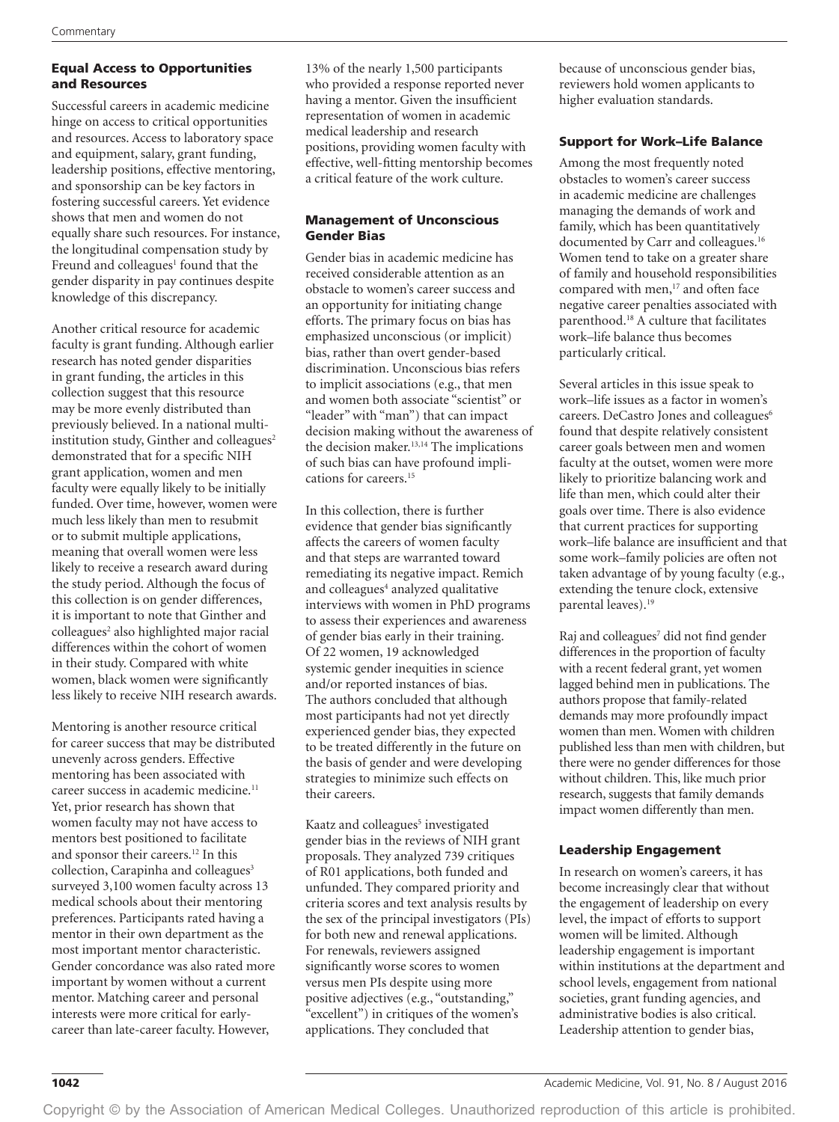## Equal Access to Opportunities and Resources

Successful careers in academic medicine hinge on access to critical opportunities and resources. Access to laboratory space and equipment, salary, grant funding, leadership positions, effective mentoring, and sponsorship can be key factors in fostering successful careers. Yet evidence shows that men and women do not equally share such resources. For instance, the longitudinal compensation study by Freund and colleagues<sup>1</sup> found that the gender disparity in pay continues despite knowledge of this discrepancy.

Another critical resource for academic faculty is grant funding. Although earlier research has noted gender disparities in grant funding, the articles in this collection suggest that this resource may be more evenly distributed than previously believed. In a national multiinstitution study, Ginther and colleagues $2$ demonstrated that for a specific NIH grant application, women and men faculty were equally likely to be initially funded. Over time, however, women were much less likely than men to resubmit or to submit multiple applications, meaning that overall women were less likely to receive a research award during the study period. Although the focus of this collection is on gender differences, it is important to note that Ginther and colleagues<sup>2</sup> also highlighted major racial differences within the cohort of women in their study. Compared with white women, black women were significantly less likely to receive NIH research awards.

Mentoring is another resource critical for career success that may be distributed unevenly across genders. Effective mentoring has been associated with career success in academic medicine.<sup>11</sup> Yet, prior research has shown that women faculty may not have access to mentors best positioned to facilitate and sponsor their careers.12 In this collection, Carapinha and colleagues<sup>3</sup> surveyed 3,100 women faculty across 13 medical schools about their mentoring preferences. Participants rated having a mentor in their own department as the most important mentor characteristic. Gender concordance was also rated more important by women without a current mentor. Matching career and personal interests were more critical for earlycareer than late-career faculty. However,

13% of the nearly 1,500 participants who provided a response reported never having a mentor. Given the insufficient representation of women in academic medical leadership and research positions, providing women faculty with effective, well-fitting mentorship becomes a critical feature of the work culture.

### Management of Unconscious Gender Bias

Gender bias in academic medicine has received considerable attention as an obstacle to women's career success and an opportunity for initiating change efforts. The primary focus on bias has emphasized unconscious (or implicit) bias, rather than overt gender-based discrimination. Unconscious bias refers to implicit associations (e.g., that men and women both associate "scientist" or "leader" with "man") that can impact decision making without the awareness of the decision maker.13,14 The implications of such bias can have profound implications for careers.15

In this collection, there is further evidence that gender bias significantly affects the careers of women faculty and that steps are warranted toward remediating its negative impact. Remich and colleagues<sup>4</sup> analyzed qualitative interviews with women in PhD programs to assess their experiences and awareness of gender bias early in their training. Of 22 women, 19 acknowledged systemic gender inequities in science and/or reported instances of bias. The authors concluded that although most participants had not yet directly experienced gender bias, they expected to be treated differently in the future on the basis of gender and were developing strategies to minimize such effects on their careers.

Kaatz and colleagues<sup>5</sup> investigated gender bias in the reviews of NIH grant proposals. They analyzed 739 critiques of R01 applications, both funded and unfunded. They compared priority and criteria scores and text analysis results by the sex of the principal investigators (PIs) for both new and renewal applications. For renewals, reviewers assigned significantly worse scores to women versus men PIs despite using more positive adjectives (e.g., "outstanding," "excellent") in critiques of the women's applications. They concluded that

because of unconscious gender bias, reviewers hold women applicants to higher evaluation standards.

## Support for Work–Life Balance

Among the most frequently noted obstacles to women's career success in academic medicine are challenges managing the demands of work and family, which has been quantitatively documented by Carr and colleagues.16 Women tend to take on a greater share of family and household responsibilities compared with men,<sup>17</sup> and often face negative career penalties associated with parenthood.18 A culture that facilitates work–life balance thus becomes particularly critical.

Several articles in this issue speak to work–life issues as a factor in women's careers. DeCastro Jones and colleagues<sup>6</sup> found that despite relatively consistent career goals between men and women faculty at the outset, women were more likely to prioritize balancing work and life than men, which could alter their goals over time. There is also evidence that current practices for supporting work–life balance are insufficient and that some work–family policies are often not taken advantage of by young faculty (e.g., extending the tenure clock, extensive parental leaves).19

Raj and colleagues<sup>7</sup> did not find gender differences in the proportion of faculty with a recent federal grant, yet women lagged behind men in publications. The authors propose that family-related demands may more profoundly impact women than men. Women with children published less than men with children, but there were no gender differences for those without children. This, like much prior research, suggests that family demands impact women differently than men.

#### Leadership Engagement

In research on women's careers, it has become increasingly clear that without the engagement of leadership on every level, the impact of efforts to support women will be limited. Although leadership engagement is important within institutions at the department and school levels, engagement from national societies, grant funding agencies, and administrative bodies is also critical. Leadership attention to gender bias,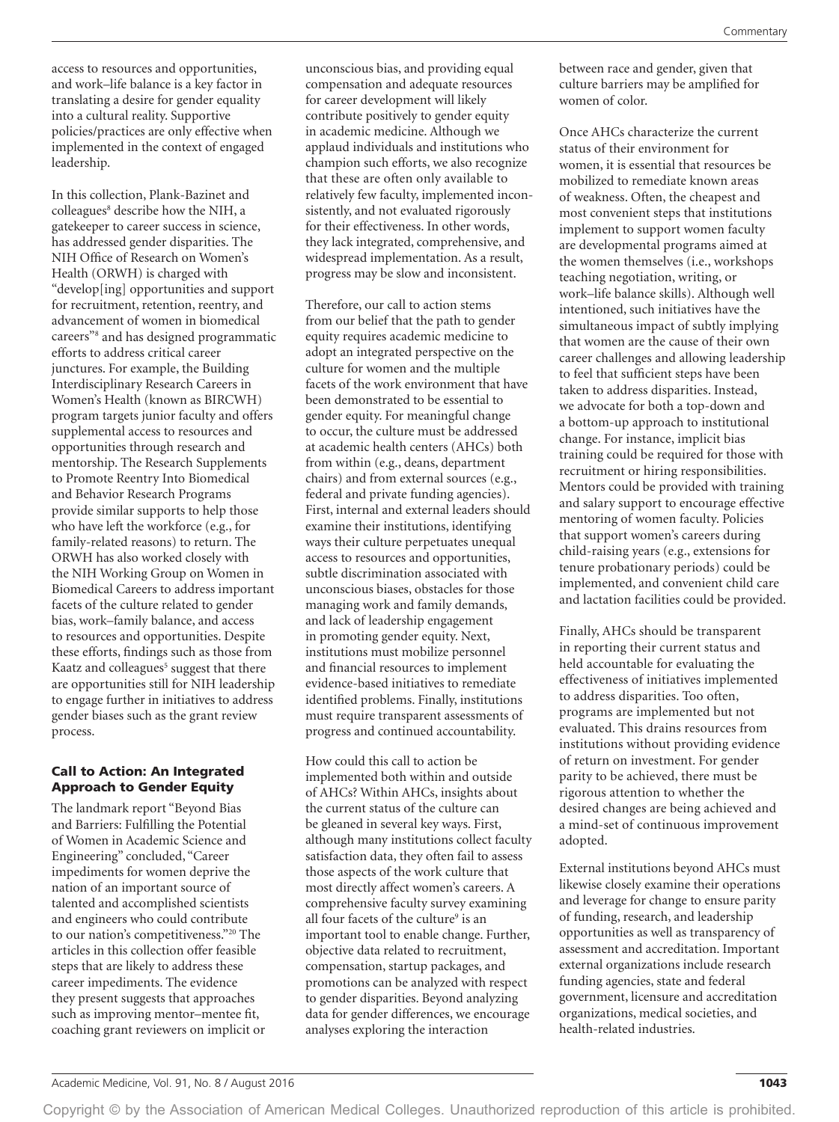access to resources and opportunities, and work–life balance is a key factor in translating a desire for gender equality into a cultural reality. Supportive policies/practices are only effective when implemented in the context of engaged leadership.

In this collection, Plank-Bazinet and colleagues<sup>8</sup> describe how the NIH, a gatekeeper to career success in science, has addressed gender disparities. The NIH Office of Research on Women's Health (ORWH) is charged with "develop[ing] opportunities and support for recruitment, retention, reentry, and advancement of women in biomedical careers"8 and has designed programmatic efforts to address critical career junctures. For example, the Building Interdisciplinary Research Careers in Women's Health (known as BIRCWH) program targets junior faculty and offers supplemental access to resources and opportunities through research and mentorship. The Research Supplements to Promote Reentry Into Biomedical and Behavior Research Programs provide similar supports to help those who have left the workforce (e.g., for family-related reasons) to return. The ORWH has also worked closely with the NIH Working Group on Women in Biomedical Careers to address important facets of the culture related to gender bias, work–family balance, and access to resources and opportunities. Despite these efforts, findings such as those from Kaatz and colleagues<sup>5</sup> suggest that there are opportunities still for NIH leadership to engage further in initiatives to address gender biases such as the grant review process.

#### Call to Action: An Integrated Approach to Gender Equity

The landmark report "Beyond Bias and Barriers: Fulfilling the Potential of Women in Academic Science and Engineering" concluded, "Career impediments for women deprive the nation of an important source of talented and accomplished scientists and engineers who could contribute to our nation's competitiveness."20 The articles in this collection offer feasible steps that are likely to address these career impediments. The evidence they present suggests that approaches such as improving mentor–mentee fit, coaching grant reviewers on implicit or unconscious bias, and providing equal compensation and adequate resources for career development will likely contribute positively to gender equity in academic medicine. Although we applaud individuals and institutions who champion such efforts, we also recognize that these are often only available to relatively few faculty, implemented inconsistently, and not evaluated rigorously for their effectiveness. In other words, they lack integrated, comprehensive, and widespread implementation. As a result, progress may be slow and inconsistent.

Therefore, our call to action stems from our belief that the path to gender equity requires academic medicine to adopt an integrated perspective on the culture for women and the multiple facets of the work environment that have been demonstrated to be essential to gender equity. For meaningful change to occur, the culture must be addressed at academic health centers (AHCs) both from within (e.g., deans, department chairs) and from external sources (e.g., federal and private funding agencies). First, internal and external leaders should examine their institutions, identifying ways their culture perpetuates unequal access to resources and opportunities, subtle discrimination associated with unconscious biases, obstacles for those managing work and family demands, and lack of leadership engagement in promoting gender equity. Next, institutions must mobilize personnel and financial resources to implement evidence-based initiatives to remediate identified problems. Finally, institutions must require transparent assessments of progress and continued accountability.

How could this call to action be implemented both within and outside of AHCs? Within AHCs, insights about the current status of the culture can be gleaned in several key ways. First, although many institutions collect faculty satisfaction data, they often fail to assess those aspects of the work culture that most directly affect women's careers. A comprehensive faculty survey examining all four facets of the culture<sup>9</sup> is an important tool to enable change. Further, objective data related to recruitment, compensation, startup packages, and promotions can be analyzed with respect to gender disparities. Beyond analyzing data for gender differences, we encourage analyses exploring the interaction

between race and gender, given that culture barriers may be amplified for women of color.

Once AHCs characterize the current status of their environment for women, it is essential that resources be mobilized to remediate known areas of weakness. Often, the cheapest and most convenient steps that institutions implement to support women faculty are developmental programs aimed at the women themselves (i.e., workshops teaching negotiation, writing, or work–life balance skills). Although well intentioned, such initiatives have the simultaneous impact of subtly implying that women are the cause of their own career challenges and allowing leadership to feel that sufficient steps have been taken to address disparities. Instead, we advocate for both a top-down and a bottom-up approach to institutional change. For instance, implicit bias training could be required for those with recruitment or hiring responsibilities. Mentors could be provided with training and salary support to encourage effective mentoring of women faculty. Policies that support women's careers during child-raising years (e.g., extensions for tenure probationary periods) could be implemented, and convenient child care and lactation facilities could be provided.

Finally, AHCs should be transparent in reporting their current status and held accountable for evaluating the effectiveness of initiatives implemented to address disparities. Too often, programs are implemented but not evaluated. This drains resources from institutions without providing evidence of return on investment. For gender parity to be achieved, there must be rigorous attention to whether the desired changes are being achieved and a mind-set of continuous improvement adopted.

External institutions beyond AHCs must likewise closely examine their operations and leverage for change to ensure parity of funding, research, and leadership opportunities as well as transparency of assessment and accreditation. Important external organizations include research funding agencies, state and federal government, licensure and accreditation organizations, medical societies, and health-related industries.

Copyright © by the Association of American Medical Colleges. Unauthorized reproduction of this article is prohibited.